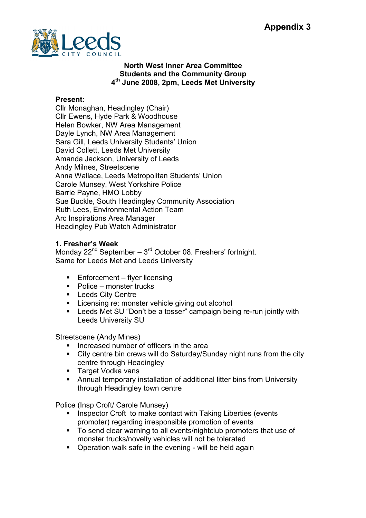

## North West Inner Area Committee Students and the Community Group 4<sup>th</sup> June 2008, 2pm, Leeds Met University

## Present:

Cllr Monaghan, Headingley (Chair) Cllr Ewens, Hyde Park & Woodhouse Helen Bowker, NW Area Management Dayle Lynch, NW Area Management Sara Gill, Leeds University Students' Union David Collett, Leeds Met University Amanda Jackson, University of Leeds Andy Milnes, Streetscene Anna Wallace, Leeds Metropolitan Students' Union Carole Munsey, West Yorkshire Police Barrie Payne, HMO Lobby Sue Buckle, South Headingley Community Association Ruth Lees, Environmental Action Team Arc Inspirations Area Manager Headingley Pub Watch Administrator

## 1. Fresher's Week

Monday  $22^{nd}$  September –  $3^{rd}$  October 08. Freshers' fortnight. Same for Leeds Met and Leeds University

- Enforcement flyer licensing
- Police monster trucks
- **E** Leeds City Centre
- Licensing re: monster vehicle giving out alcohol
- Leeds Met SU "Don't be a tosser" campaign being re-run jointly with Leeds University SU

Streetscene (Andy Mines)

- § Increased number of officers in the area
- City centre bin crews will do Saturday/Sunday night runs from the city centre through Headingley
- Target Vodka vans
- § Annual temporary installation of additional litter bins from University through Headingley town centre

Police (Insp Croft/ Carole Munsey)

- Inspector Croft to make contact with Taking Liberties (events promoter) regarding irresponsible promotion of events
- § To send clear warning to all events/nightclub promoters that use of monster trucks/novelty vehicles will not be tolerated
- Operation walk safe in the evening will be held again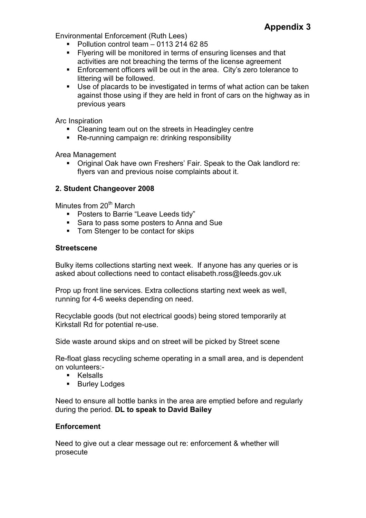Environmental Enforcement (Ruth Lees)

- § Pollution control team 0113 214 62 85
- **EXECTE:** Flyering will be monitored in terms of ensuring licenses and that activities are not breaching the terms of the license agreement
- Enforcement officers will be out in the area. City's zero tolerance to littering will be followed.
- Use of placards to be investigated in terms of what action can be taken against those using if they are held in front of cars on the highway as in previous years

Arc Inspiration

- Cleaning team out on the streets in Headingley centre
- Re-running campaign re: drinking responsibility

Area Management

■ Original Oak have own Freshers' Fair. Speak to the Oak landlord re: flyers van and previous noise complaints about it.

## 2. Student Changeover 2008

Minutes from  $20<sup>th</sup>$  March

- Posters to Barrie "Leave Leeds tidy"
- Sara to pass some posters to Anna and Sue
- Tom Stenger to be contact for skips

#### **Streetscene**

Bulky items collections starting next week. If anyone has any queries or is asked about collections need to contact elisabeth.ross@leeds.gov.uk

Prop up front line services. Extra collections starting next week as well, running for 4-6 weeks depending on need.

Recyclable goods (but not electrical goods) being stored temporarily at Kirkstall Rd for potential re-use.

Side waste around skips and on street will be picked by Street scene

Re-float glass recycling scheme operating in a small area, and is dependent on volunteers:-

- Kelsalls
- Burley Lodges

Need to ensure all bottle banks in the area are emptied before and regularly during the period. DL to speak to David Bailey

#### **Enforcement**

Need to give out a clear message out re: enforcement & whether will prosecute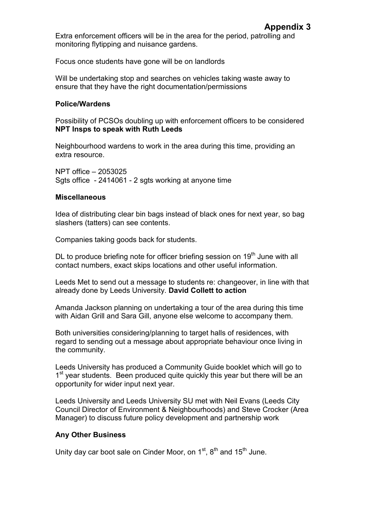Extra enforcement officers will be in the area for the period, patrolling and monitoring flytipping and nuisance gardens.

Focus once students have gone will be on landlords

Will be undertaking stop and searches on vehicles taking waste away to ensure that they have the right documentation/permissions

## Police/Wardens

Possibility of PCSOs doubling up with enforcement officers to be considered NPT Insps to speak with Ruth Leeds

Neighbourhood wardens to work in the area during this time, providing an extra resource.

NPT office – 2053025 Sats office - 2414061 - 2 sats working at anyone time

## Miscellaneous

Idea of distributing clear bin bags instead of black ones for next year, so bag slashers (tatters) can see contents.

Companies taking goods back for students.

DL to produce briefing note for officer briefing session on  $19<sup>th</sup>$  June with all contact numbers, exact skips locations and other useful information.

Leeds Met to send out a message to students re: changeover, in line with that already done by Leeds University. David Collett to action

Amanda Jackson planning on undertaking a tour of the area during this time with Aidan Grill and Sara Gill, anyone else welcome to accompany them.

Both universities considering/planning to target halls of residences, with regard to sending out a message about appropriate behaviour once living in the community.

Leeds University has produced a Community Guide booklet which will go to 1<sup>st</sup> year students. Been produced quite quickly this year but there will be an opportunity for wider input next year.

Leeds University and Leeds University SU met with Neil Evans (Leeds City Council Director of Environment & Neighbourhoods) and Steve Crocker (Area Manager) to discuss future policy development and partnership work

# Any Other Business

Unity day car boot sale on Cinder Moor, on  $1<sup>st</sup>$ ,  $8<sup>th</sup>$  and  $15<sup>th</sup>$  June.